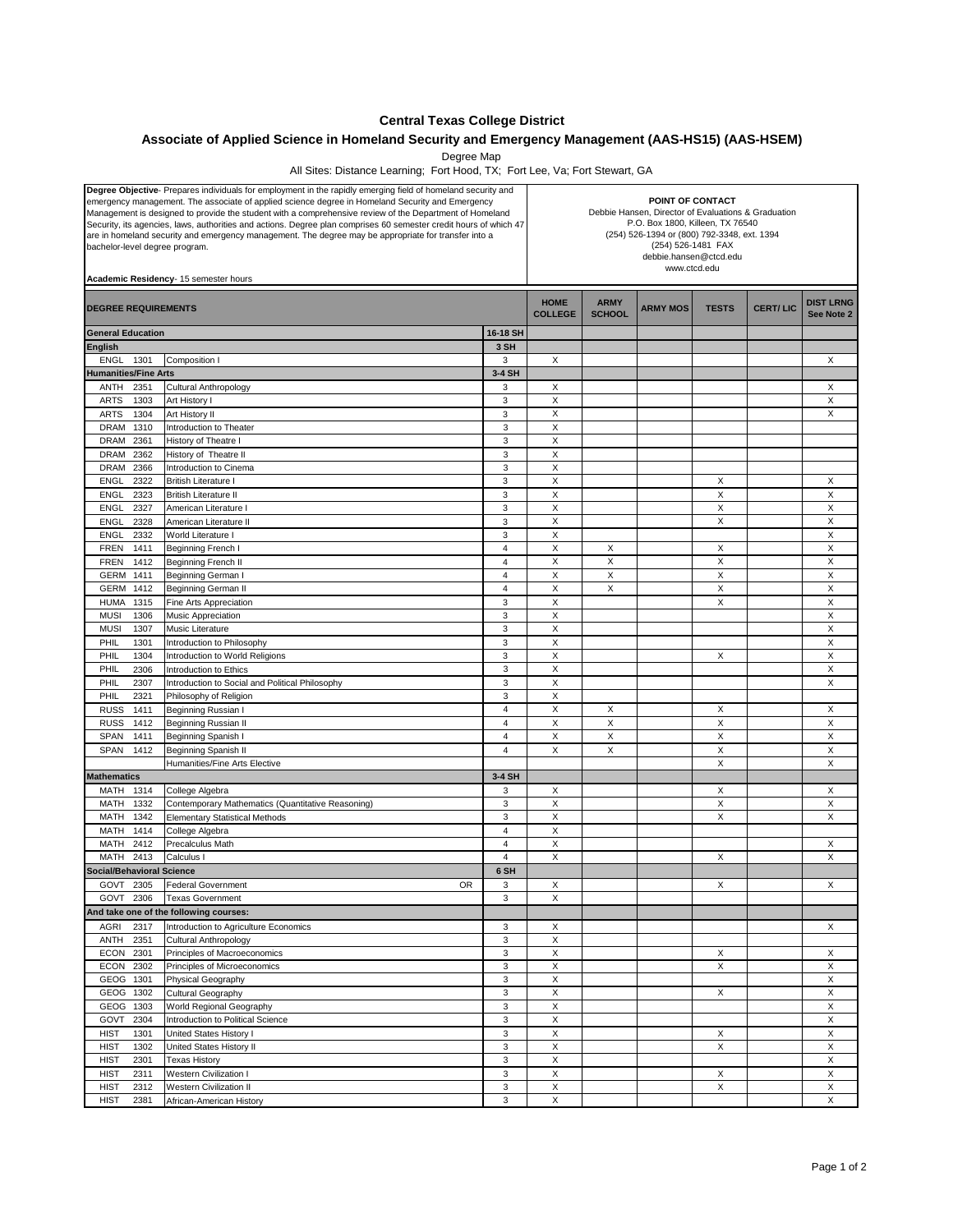## **Central Texas College District**

## **Associate of Applied Science in Homeland Security and Emergency Management (AAS-HS15) (AAS-HSEM)**

Degree Map

All Sites: Distance Learning; Fort Hood, TX; Fort Lee, Va; Fort Stewart, GA

| Degree Objective- Prepares individuals for employment in the rapidly emerging field of homeland security and<br>emergency management. The associate of applied science degree in Homeland Security and Emergency<br>Management is designed to provide the student with a comprehensive review of the Department of Homeland<br>Security, its agencies, laws, authorities and actions. Degree plan comprises 60 semester credit hours of which 47<br>are in homeland security and emergency management. The degree may be appropriate for transfer into a<br>bachelor-level degree program.<br>Academic Residency- 15 semester hours |                                                                                            |                | POINT OF CONTACT<br>Debbie Hansen, Director of Evaluations & Graduation<br>P.O. Box 1800, Killeen, TX 76540<br>(254) 526-1394 or (800) 792-3348, ext. 1394<br>(254) 526-1481 FAX<br>debbie.hansen@ctcd.edu<br>www.ctcd.edu |                              |                 |              |                 |                                |
|-------------------------------------------------------------------------------------------------------------------------------------------------------------------------------------------------------------------------------------------------------------------------------------------------------------------------------------------------------------------------------------------------------------------------------------------------------------------------------------------------------------------------------------------------------------------------------------------------------------------------------------|--------------------------------------------------------------------------------------------|----------------|----------------------------------------------------------------------------------------------------------------------------------------------------------------------------------------------------------------------------|------------------------------|-----------------|--------------|-----------------|--------------------------------|
| <b>DEGREE REQUIREMENTS</b>                                                                                                                                                                                                                                                                                                                                                                                                                                                                                                                                                                                                          |                                                                                            |                | <b>HOME</b><br><b>COLLEGE</b>                                                                                                                                                                                              | <b>ARMY</b><br><b>SCHOOL</b> | <b>ARMY MOS</b> | <b>TESTS</b> | <b>CERT/LIC</b> | <b>DIST LRNG</b><br>See Note 2 |
| 16-18 SH<br><b>General Education</b>                                                                                                                                                                                                                                                                                                                                                                                                                                                                                                                                                                                                |                                                                                            |                |                                                                                                                                                                                                                            |                              |                 |              |                 |                                |
| <b>English</b>                                                                                                                                                                                                                                                                                                                                                                                                                                                                                                                                                                                                                      |                                                                                            | 3 SH           |                                                                                                                                                                                                                            |                              |                 |              |                 |                                |
| <b>ENGL</b><br>1301                                                                                                                                                                                                                                                                                                                                                                                                                                                                                                                                                                                                                 | Composition I                                                                              | 3              | Χ                                                                                                                                                                                                                          |                              |                 |              |                 | X                              |
| <b>Humanities/Fine Arts</b>                                                                                                                                                                                                                                                                                                                                                                                                                                                                                                                                                                                                         |                                                                                            | 3-4 SH         |                                                                                                                                                                                                                            |                              |                 |              |                 |                                |
| ANTH<br>2351                                                                                                                                                                                                                                                                                                                                                                                                                                                                                                                                                                                                                        | <b>Cultural Anthropology</b>                                                               | 3              | X                                                                                                                                                                                                                          |                              |                 |              |                 | X                              |
| <b>ARTS</b><br>1303<br><b>ARTS</b><br>1304                                                                                                                                                                                                                                                                                                                                                                                                                                                                                                                                                                                          | Art History I<br>Art History II                                                            | 3<br>3         | X<br>X                                                                                                                                                                                                                     |                              |                 |              |                 | X<br>X                         |
| <b>DRAM</b><br>1310                                                                                                                                                                                                                                                                                                                                                                                                                                                                                                                                                                                                                 | Introduction to Theater                                                                    | 3              | X                                                                                                                                                                                                                          |                              |                 |              |                 |                                |
| <b>DRAM</b><br>2361                                                                                                                                                                                                                                                                                                                                                                                                                                                                                                                                                                                                                 | History of Theatre I                                                                       | 3              | X                                                                                                                                                                                                                          |                              |                 |              |                 |                                |
| 2362<br><b>DRAM</b>                                                                                                                                                                                                                                                                                                                                                                                                                                                                                                                                                                                                                 | History of Theatre II                                                                      | 3              | X                                                                                                                                                                                                                          |                              |                 |              |                 |                                |
| <b>DRAM</b><br>2366                                                                                                                                                                                                                                                                                                                                                                                                                                                                                                                                                                                                                 | Introduction to Cinema                                                                     | 3              | X                                                                                                                                                                                                                          |                              |                 |              |                 |                                |
| 2322<br><b>ENGL</b>                                                                                                                                                                                                                                                                                                                                                                                                                                                                                                                                                                                                                 | <b>British Literature I</b>                                                                | 3              | X                                                                                                                                                                                                                          |                              |                 | Х            |                 | X                              |
| 2323<br><b>ENGL</b>                                                                                                                                                                                                                                                                                                                                                                                                                                                                                                                                                                                                                 | <b>British Literature II</b>                                                               | 3              | X                                                                                                                                                                                                                          |                              |                 | X            |                 | X                              |
| 2327<br><b>ENGL</b>                                                                                                                                                                                                                                                                                                                                                                                                                                                                                                                                                                                                                 | American Literature I                                                                      | 3              | X                                                                                                                                                                                                                          |                              |                 | X            |                 | X                              |
| 2328<br><b>ENGL</b>                                                                                                                                                                                                                                                                                                                                                                                                                                                                                                                                                                                                                 | American Literature II                                                                     | 3              | X                                                                                                                                                                                                                          |                              |                 | X            |                 | X                              |
| 2332<br><b>ENGL</b>                                                                                                                                                                                                                                                                                                                                                                                                                                                                                                                                                                                                                 | World Literature I                                                                         | 3              | X                                                                                                                                                                                                                          |                              |                 |              |                 | X                              |
| <b>FREN</b><br>1411                                                                                                                                                                                                                                                                                                                                                                                                                                                                                                                                                                                                                 | Beginning French I                                                                         | $\overline{4}$ | X                                                                                                                                                                                                                          | Х                            |                 | Х            |                 | X                              |
| <b>FREN</b><br>1412                                                                                                                                                                                                                                                                                                                                                                                                                                                                                                                                                                                                                 | <b>Beginning French II</b>                                                                 | $\overline{4}$ | X                                                                                                                                                                                                                          | X                            |                 | X            |                 | X                              |
| <b>GERM</b><br>1411                                                                                                                                                                                                                                                                                                                                                                                                                                                                                                                                                                                                                 | Beginning German I                                                                         | $\overline{4}$ | X                                                                                                                                                                                                                          | X                            |                 | X            |                 | X                              |
| <b>GERM</b><br>1412                                                                                                                                                                                                                                                                                                                                                                                                                                                                                                                                                                                                                 | Beginning German II                                                                        | $\overline{4}$ | X                                                                                                                                                                                                                          | X                            |                 | X            |                 | X                              |
| <b>HUMA</b><br>1315                                                                                                                                                                                                                                                                                                                                                                                                                                                                                                                                                                                                                 | Fine Arts Appreciation                                                                     | 3              | X<br>X                                                                                                                                                                                                                     |                              |                 | X            |                 | X<br>X                         |
| <b>MUSI</b><br>1306<br><b>MUSI</b><br>1307                                                                                                                                                                                                                                                                                                                                                                                                                                                                                                                                                                                          | Music Appreciation<br>Music Literature                                                     | 3<br>3         | X                                                                                                                                                                                                                          |                              |                 |              |                 | X                              |
| PHIL<br>1301                                                                                                                                                                                                                                                                                                                                                                                                                                                                                                                                                                                                                        | Introduction to Philosophy                                                                 | 3              | X                                                                                                                                                                                                                          |                              |                 |              |                 | X                              |
| PHIL<br>1304                                                                                                                                                                                                                                                                                                                                                                                                                                                                                                                                                                                                                        | Introduction to World Religions                                                            | 3              | X                                                                                                                                                                                                                          |                              |                 | X            |                 | X                              |
| PHIL<br>2306                                                                                                                                                                                                                                                                                                                                                                                                                                                                                                                                                                                                                        | Introduction to Ethics                                                                     | 3              | X                                                                                                                                                                                                                          |                              |                 |              |                 | X                              |
| PHIL<br>2307                                                                                                                                                                                                                                                                                                                                                                                                                                                                                                                                                                                                                        | Introduction to Social and Political Philosophy                                            | 3              | X                                                                                                                                                                                                                          |                              |                 |              |                 | X                              |
| PHIL<br>2321                                                                                                                                                                                                                                                                                                                                                                                                                                                                                                                                                                                                                        | Philosophy of Religion                                                                     | 3              | X                                                                                                                                                                                                                          |                              |                 |              |                 |                                |
| <b>RUSS</b><br>1411                                                                                                                                                                                                                                                                                                                                                                                                                                                                                                                                                                                                                 | Beginning Russian I                                                                        | $\overline{4}$ | X                                                                                                                                                                                                                          | Х                            |                 | Х            |                 | X                              |
| <b>RUSS</b><br>1412                                                                                                                                                                                                                                                                                                                                                                                                                                                                                                                                                                                                                 | Beginning Russian II                                                                       | $\overline{4}$ | X                                                                                                                                                                                                                          | X                            |                 | X            |                 | $\times$                       |
| <b>SPAN</b><br>1411                                                                                                                                                                                                                                                                                                                                                                                                                                                                                                                                                                                                                 | Beginning Spanish I                                                                        | $\overline{4}$ | X                                                                                                                                                                                                                          | Χ                            |                 | X            |                 | X                              |
| <b>SPAN</b><br>1412                                                                                                                                                                                                                                                                                                                                                                                                                                                                                                                                                                                                                 | Beginning Spanish II                                                                       | $\overline{4}$ | X                                                                                                                                                                                                                          | X                            |                 | X            |                 | X                              |
|                                                                                                                                                                                                                                                                                                                                                                                                                                                                                                                                                                                                                                     | Humanities/Fine Arts Elective                                                              |                |                                                                                                                                                                                                                            |                              |                 | X            |                 | X                              |
| <b>Mathematics</b>                                                                                                                                                                                                                                                                                                                                                                                                                                                                                                                                                                                                                  |                                                                                            | 3-4 SH         |                                                                                                                                                                                                                            |                              |                 |              |                 |                                |
| MATH<br>1314<br><b>MATH</b>                                                                                                                                                                                                                                                                                                                                                                                                                                                                                                                                                                                                         | College Algebra                                                                            | 3<br>3         | Χ                                                                                                                                                                                                                          |                              |                 | X            |                 | Х                              |
| 1332<br>MATH<br>1342                                                                                                                                                                                                                                                                                                                                                                                                                                                                                                                                                                                                                | Contemporary Mathematics (Quantitative Reasoning)<br><b>Elementary Statistical Methods</b> | 3              | X<br>X                                                                                                                                                                                                                     |                              |                 | X<br>X       |                 | X<br>X                         |
| MATH<br>1414                                                                                                                                                                                                                                                                                                                                                                                                                                                                                                                                                                                                                        | College Algebra                                                                            | $\overline{4}$ | X                                                                                                                                                                                                                          |                              |                 |              |                 |                                |
| MATH<br>2412                                                                                                                                                                                                                                                                                                                                                                                                                                                                                                                                                                                                                        | Precalculus Math                                                                           | $\overline{4}$ | X                                                                                                                                                                                                                          |                              |                 |              |                 | X                              |
| MATH 2413                                                                                                                                                                                                                                                                                                                                                                                                                                                                                                                                                                                                                           | Calculus I                                                                                 | $\overline{4}$ | X                                                                                                                                                                                                                          |                              |                 | X            |                 | X                              |
| <b>Social/Behavioral Science</b>                                                                                                                                                                                                                                                                                                                                                                                                                                                                                                                                                                                                    |                                                                                            | 6 SH           |                                                                                                                                                                                                                            |                              |                 |              |                 |                                |
| GOVT 2305                                                                                                                                                                                                                                                                                                                                                                                                                                                                                                                                                                                                                           | <b>Federal Government</b><br>OR                                                            | 3              | Х                                                                                                                                                                                                                          |                              |                 | х            |                 | Х                              |
| 2306<br>GOVT                                                                                                                                                                                                                                                                                                                                                                                                                                                                                                                                                                                                                        | <b>Texas Government</b>                                                                    | 3              | X                                                                                                                                                                                                                          |                              |                 |              |                 |                                |
|                                                                                                                                                                                                                                                                                                                                                                                                                                                                                                                                                                                                                                     | And take one of the following courses:                                                     |                |                                                                                                                                                                                                                            |                              |                 |              |                 |                                |
| AGRI<br>2317                                                                                                                                                                                                                                                                                                                                                                                                                                                                                                                                                                                                                        | Introduction to Agriculture Economics                                                      | 3              | X                                                                                                                                                                                                                          |                              |                 |              |                 | X                              |
| ANTH<br>2351                                                                                                                                                                                                                                                                                                                                                                                                                                                                                                                                                                                                                        | Cultural Anthropology                                                                      | 3              | X                                                                                                                                                                                                                          |                              |                 |              |                 |                                |
| <b>ECON</b><br>2301                                                                                                                                                                                                                                                                                                                                                                                                                                                                                                                                                                                                                 | Principles of Macroeconomics                                                               | 3              | X                                                                                                                                                                                                                          |                              |                 | X            |                 | Х                              |
| <b>ECON</b><br>2302                                                                                                                                                                                                                                                                                                                                                                                                                                                                                                                                                                                                                 | Principles of Microeconomics                                                               | 3              | X                                                                                                                                                                                                                          |                              |                 | X            |                 | X                              |
| GEOG<br>1301                                                                                                                                                                                                                                                                                                                                                                                                                                                                                                                                                                                                                        | Physical Geography                                                                         | 3              | $\mathsf X$                                                                                                                                                                                                                |                              |                 |              |                 | X                              |
| GEOG<br>1302<br>GEOG<br>1303                                                                                                                                                                                                                                                                                                                                                                                                                                                                                                                                                                                                        | Cultural Geography<br>World Regional Geography                                             | 3<br>3         | X<br>$\mathsf X$                                                                                                                                                                                                           |                              |                 | X            |                 | X<br>X                         |
| GOVT<br>2304                                                                                                                                                                                                                                                                                                                                                                                                                                                                                                                                                                                                                        | Introduction to Political Science                                                          | 3              | $\mathsf X$                                                                                                                                                                                                                |                              |                 |              |                 | X                              |
| <b>HIST</b><br>1301                                                                                                                                                                                                                                                                                                                                                                                                                                                                                                                                                                                                                 | United States History I                                                                    | 3              | X                                                                                                                                                                                                                          |                              |                 | X            |                 | X                              |
| <b>HIST</b><br>1302                                                                                                                                                                                                                                                                                                                                                                                                                                                                                                                                                                                                                 | United States History II                                                                   | 3              | X                                                                                                                                                                                                                          |                              |                 | X            |                 | X                              |
| <b>HIST</b><br>2301                                                                                                                                                                                                                                                                                                                                                                                                                                                                                                                                                                                                                 | <b>Texas History</b>                                                                       | 3              | X                                                                                                                                                                                                                          |                              |                 |              |                 | X                              |
| <b>HIST</b><br>2311                                                                                                                                                                                                                                                                                                                                                                                                                                                                                                                                                                                                                 | Western Civilization I                                                                     | 3              | X                                                                                                                                                                                                                          |                              |                 | X            |                 | X                              |
| <b>HIST</b><br>2312                                                                                                                                                                                                                                                                                                                                                                                                                                                                                                                                                                                                                 | Western Civilization II                                                                    | 3              | X                                                                                                                                                                                                                          |                              |                 | X            |                 | X                              |
| <b>HIST</b><br>2381                                                                                                                                                                                                                                                                                                                                                                                                                                                                                                                                                                                                                 | African-American History                                                                   | 3              | X                                                                                                                                                                                                                          |                              |                 |              |                 | X                              |